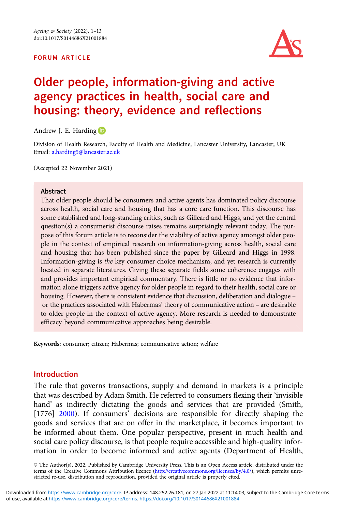#### FORUM ARTICLE



# Older people, information-giving and active agency practices in health, social care and housing: theory, evidence and reflections

Andrew J. E. Harding

Division of Health Research, Faculty of Health and Medicine, Lancaster University, Lancaster, UK Email: [a.harding5@lancaster.ac.uk](mailto:a.harding5@lancaster.ac.uk)

(Accepted 22 November 2021)

#### Abstract

That older people should be consumers and active agents has dominated policy discourse across health, social care and housing that has a core care function. This discourse has some established and long-standing critics, such as Gilleard and Higgs, and yet the central question(s) a consumerist discourse raises remains surprisingly relevant today. The purpose of this forum article is to reconsider the viability of active agency amongst older people in the context of empirical research on information-giving across health, social care and housing that has been published since the paper by Gilleard and Higgs in 1998. Information-giving is the key consumer choice mechanism, and yet research is currently located in separate literatures. Giving these separate fields some coherence engages with and provides important empirical commentary. There is little or no evidence that information alone triggers active agency for older people in regard to their health, social care or housing. However, there is consistent evidence that discussion, deliberation and dialogue – or the practices associated with Habermas' theory of communicative action – are desirable to older people in the context of active agency. More research is needed to demonstrate efficacy beyond communicative approaches being desirable.

Keywords: consumer; citizen; Habermas; communicative action; welfare

## Introduction

The rule that governs transactions, supply and demand in markets is a principle that was described by Adam Smith. He referred to consumers flexing their 'invisible hand' as indirectly dictating the goods and services that are provided (Smith, [1776] [2000](#page-12-0)). If consumers' decisions are responsible for directly shaping the goods and services that are on offer in the marketplace, it becomes important to be informed about them. One popular perspective, present in much health and social care policy discourse, is that people require accessible and high-quality information in order to become informed and active agents (Department of Health,

© The Author(s), 2022. Published by Cambridge University Press. This is an Open Access article, distributed under the terms of the Creative Commons Attribution licence ([http://creativecommons.org/licenses/by/4.0/\)](http://creativecommons.org/licenses/by/4.0/), which permits unrestricted re-use, distribution and reproduction, provided the original article is properly cited.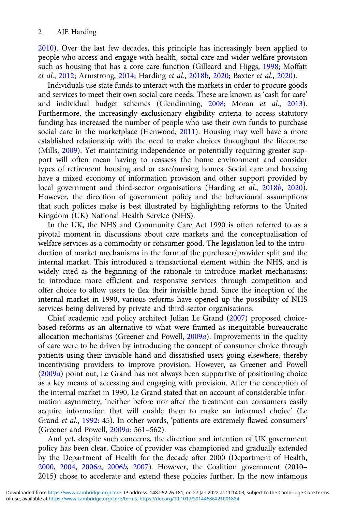[2010\)](#page-10-0). Over the last few decades, this principle has increasingly been applied to people who access and engage with health, social care and wider welfare provision such as housing that has a core care function (Gilleard and Higgs, [1998;](#page-11-0) Moffatt et al., [2012;](#page-12-0) Armstrong, [2014](#page-10-0); Harding et al., [2018b,](#page-11-0) [2020;](#page-11-0) Baxter et al., [2020\)](#page-10-0).

Individuals use state funds to interact with the markets in order to procure goods and services to meet their own social care needs. These are known as 'cash for care' and individual budget schemes (Glendinning, [2008;](#page-11-0) Moran et al., [2013\)](#page-12-0). Furthermore, the increasingly exclusionary eligibility criteria to access statutory funding has increased the number of people who use their own funds to purchase social care in the marketplace (Henwood, [2011\)](#page-11-0). Housing may well have a more established relationship with the need to make choices throughout the lifecourse (Mills, [2009\)](#page-12-0). Yet maintaining independence or potentially requiring greater support will often mean having to reassess the home environment and consider types of retirement housing and or care/nursing homes. Social care and housing have a mixed economy of information provision and other support provided by local government and third-sector organisations (Harding et al., [2018](#page-11-0)b, [2020\)](#page-11-0). However, the direction of government policy and the behavioural assumptions that such policies make is best illustrated by highlighting reforms to the United Kingdom (UK) National Health Service (NHS).

In the UK, the NHS and Community Care Act 1990 is often referred to as a pivotal moment in discussions about care markets and the conceptualisation of welfare services as a commodity or consumer good. The legislation led to the introduction of market mechanisms in the form of the purchaser/provider split and the internal market. This introduced a transactional element within the NHS, and is widely cited as the beginning of the rationale to introduce market mechanisms: to introduce more efficient and responsive services through competition and offer choice to allow users to flex their invisible hand. Since the inception of the internal market in 1990, various reforms have opened up the possibility of NHS services being delivered by private and third-sector organisations.

Chief academic and policy architect Julian Le Grand ([2007](#page-11-0)) proposed choicebased reforms as an alternative to what were framed as inequitable bureaucratic allocation mechanisms (Greener and Powell, [2009](#page-11-0)a). Improvements in the quality of care were to be driven by introducing the concept of consumer choice through patients using their invisible hand and dissatisfied users going elsewhere, thereby incentivising providers to improve provision. However, as Greener and Powell ([2009](#page-11-0)a) point out, Le Grand has not always been supportive of positioning choice as a key means of accessing and engaging with provision. After the conception of the internal market in 1990, Le Grand stated that on account of considerable information asymmetry, 'neither before nor after the treatment can consumers easily acquire information that will enable them to make an informed choice' (Le Grand et al., [1992](#page-11-0): 45). In other words, 'patients are extremely flawed consumers' (Greener and Powell, [2009](#page-11-0)a: 561–562).

And yet, despite such concerns, the direction and intention of UK government policy has been clear. Choice of provider was championed and gradually extended by the Department of Health for the decade after 2000 (Department of Health, [2000,](#page-10-0) [2004](#page-10-0), [2006](#page-10-0)a, [2006](#page-10-0)b, [2007\)](#page-10-0). However, the Coalition government (2010– 2015) chose to accelerate and extend these policies further. In the now infamous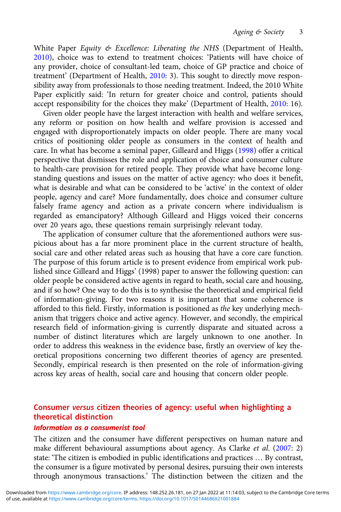White Paper Equity & Excellence: Liberating the NHS (Department of Health, [2010](#page-10-0)), choice was to extend to treatment choices: 'Patients will have choice of any provider, choice of consultant-led team, choice of GP practice and choice of treatment' (Department of Health, [2010:](#page-10-0) 3). This sought to directly move responsibility away from professionals to those needing treatment. Indeed, the 2010 White Paper explicitly said: 'In return for greater choice and control, patients should accept responsibility for the choices they make' (Department of Health, [2010:](#page-10-0) 16).

Given older people have the largest interaction with health and welfare services, any reform or position on how health and welfare provision is accessed and engaged with disproportionately impacts on older people. There are many vocal critics of positioning older people as consumers in the context of health and care. In what has become a seminal paper, Gilleard and Higgs ([1998](#page-11-0)) offer a critical perspective that dismisses the role and application of choice and consumer culture to health-care provision for retired people. They provide what have become longstanding questions and issues on the matter of active agency: who does it benefit, what is desirable and what can be considered to be 'active' in the context of older people, agency and care? More fundamentally, does choice and consumer culture falsely frame agency and action as a private concern where individualism is regarded as emancipatory? Although Gilleard and Higgs voiced their concerns over 20 years ago, these questions remain surprisingly relevant today.

The application of consumer culture that the aforementioned authors were suspicious about has a far more prominent place in the current structure of health, social care and other related areas such as housing that have a core care function. The purpose of this forum article is to present evidence from empirical work published since Gilleard and Higgs' (1998) paper to answer the following question: can older people be considered active agents in regard to heath, social care and housing, and if so how? One way to do this is to synthesise the theoretical and empirical field of information-giving. For two reasons it is important that some coherence is afforded to this field. Firstly, information is positioned as the key underlying mechanism that triggers choice and active agency. However, and secondly, the empirical research field of information-giving is currently disparate and situated across a number of distinct literatures which are largely unknown to one another. In order to address this weakness in the evidence base, firstly an overview of key theoretical propositions concerning two different theories of agency are presented. Secondly, empirical research is then presented on the role of information-giving across key areas of health, social care and housing that concern older people.

## Consumer versus citizen theories of agency: useful when highlighting a theoretical distinction

#### Information as a consumerist tool

The citizen and the consumer have different perspectives on human nature and make different behavioural assumptions about agency. As Clarke et al. [\(2007](#page-10-0): 2) state: 'The citizen is embodied in public identifications and practices … By contrast, the consumer is a figure motivated by personal desires, pursuing their own interests through anonymous transactions.' The distinction between the citizen and the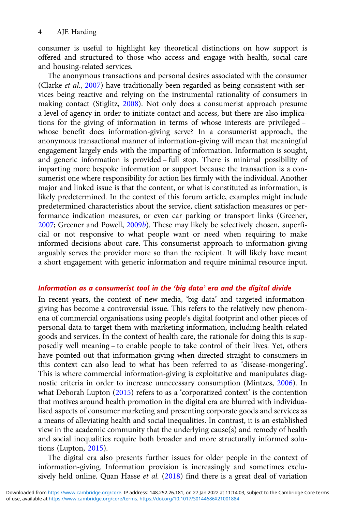consumer is useful to highlight key theoretical distinctions on how support is offered and structured to those who access and engage with health, social care and housing-related services.

The anonymous transactions and personal desires associated with the consumer (Clarke et al., [2007\)](#page-10-0) have traditionally been regarded as being consistent with services being reactive and relying on the instrumental rationality of consumers in making contact (Stiglitz, [2008\)](#page-12-0). Not only does a consumerist approach presume a level of agency in order to initiate contact and access, but there are also implications for the giving of information in terms of whose interests are privileged – whose benefit does information-giving serve? In a consumerist approach, the anonymous transactional manner of information-giving will mean that meaningful engagement largely ends with the imparting of information. Information is sought, and generic information is provided – full stop. There is minimal possibility of imparting more bespoke information or support because the transaction is a consumerist one where responsibility for action lies firmly with the individual. Another major and linked issue is that the content, or what is constituted as information, is likely predetermined. In the context of this forum article, examples might include predetermined characteristics about the service, client satisfaction measures or performance indication measures, or even car parking or transport links (Greener, [2007;](#page-11-0) Greener and Powell, [2009](#page-11-0)b). These may likely be selectively chosen, superficial or not responsive to what people want or need when requiring to make informed decisions about care. This consumerist approach to information-giving arguably serves the provider more so than the recipient. It will likely have meant a short engagement with generic information and require minimal resource input.

## Information as a consumerist tool in the 'big data' era and the digital divide

In recent years, the context of new media, 'big data' and targeted informationgiving has become a controversial issue. This refers to the relatively new phenomena of commercial organisations using people's digital footprint and other pieces of personal data to target them with marketing information, including health-related goods and services. In the context of health care, the rationale for doing this is supposedly well meaning – to enable people to take control of their lives. Yet, others have pointed out that information-giving when directed straight to consumers in this context can also lead to what has been referred to as 'disease-mongering'. This is where commercial information-giving is exploitative and manipulates diagnostic criteria in order to increase unnecessary consumption (Mintzes, [2006\)](#page-12-0). In what Deborah Lupton ([2015\)](#page-11-0) refers to as a 'corporatized context' is the contention that motives around health promotion in the digital era are blurred with individualised aspects of consumer marketing and presenting corporate goods and services as a means of alleviating health and social inequalities. In contrast, it is an established view in the academic community that the underlying cause(s) and remedy of health and social inequalities require both broader and more structurally informed solutions (Lupton, [2015\)](#page-11-0).

The digital era also presents further issues for older people in the context of information-giving. Information provision is increasingly and sometimes exclusively held online. Quan Hasse et al. [\(2018\)](#page-12-0) find there is a great deal of variation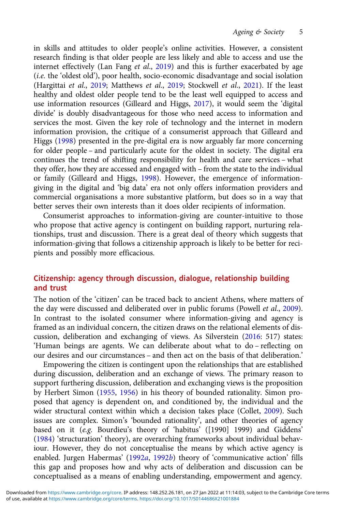in skills and attitudes to older people's online activities. However, a consistent research finding is that older people are less likely and able to access and use the internet effectively (Lan Fang et al., [2019](#page-11-0)) and this is further exacerbated by age (i.e. the 'oldest old'), poor health, socio-economic disadvantage and social isolation (Hargittai et al., [2019;](#page-11-0) Matthews et al., [2019](#page-11-0); Stockwell et al., [2021](#page-12-0)). If the least healthy and oldest older people tend to be the least well equipped to access and use information resources (Gilleard and Higgs, [2017](#page-11-0)), it would seem the 'digital divide' is doubly disadvantageous for those who need access to information and services the most. Given the key role of technology and the internet in modern information provision, the critique of a consumerist approach that Gilleard and Higgs ([1998](#page-11-0)) presented in the pre-digital era is now arguably far more concerning for older people – and particularly acute for the oldest in society. The digital era continues the trend of shifting responsibility for health and care services – what they offer, how they are accessed and engaged with – from the state to the individual or family (Gilleard and Higgs, [1998\)](#page-11-0). However, the emergence of informationgiving in the digital and 'big data' era not only offers information providers and commercial organisations a more substantive platform, but does so in a way that better serves their own interests than it does older recipients of information.

Consumerist approaches to information-giving are counter-intuitive to those who propose that active agency is contingent on building rapport, nurturing relationships, trust and discussion. There is a great deal of theory which suggests that information-giving that follows a citizenship approach is likely to be better for recipients and possibly more efficacious.

## Citizenship: agency through discussion, dialogue, relationship building and trust

The notion of the 'citizen' can be traced back to ancient Athens, where matters of the day were discussed and deliberated over in public forums (Powell et al., [2009\)](#page-12-0). In contrast to the isolated consumer where information-giving and agency is framed as an individual concern, the citizen draws on the relational elements of discussion, deliberation and exchanging of views. As Silverstein [\(2016](#page-12-0): 517) states: 'Human beings are agents. We can deliberate about what to do – reflecting on our desires and our circumstances – and then act on the basis of that deliberation.'

Empowering the citizen is contingent upon the relationships that are established during discussion, deliberation and an exchange of views. The primary reason to support furthering discussion, deliberation and exchanging views is the proposition by Herbert Simon ([1955](#page-12-0), [1956\)](#page-12-0) in his theory of bounded rationality. Simon proposed that agency is dependent on, and conditioned by, the individual and the wider structural context within which a decision takes place (Collet, [2009](#page-10-0)). Such issues are complex. Simon's 'bounded rationality', and other theories of agency based on it (e.g. Bourdieu's theory of 'habitus' ([1990] 1999) and Giddens' [\(1984\)](#page-11-0) 'structuration' theory), are overarching frameworks about individual behaviour. However, they do not conceptualise the means by which active agency is enabled. Jurgen Habermas' ([1992](#page-11-0)a, [1992](#page-11-0)b) theory of 'communicative action' fills this gap and proposes how and why acts of deliberation and discussion can be conceptualised as a means of enabling understanding, empowerment and agency.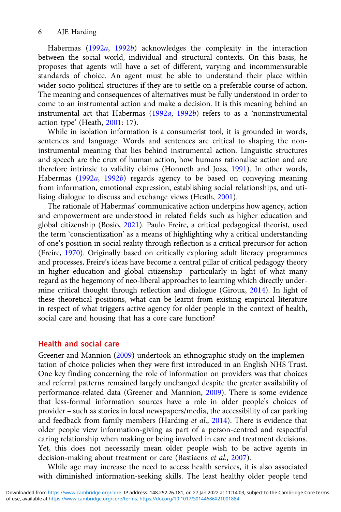#### 6 AJE Harding

Habermas ([1992](#page-11-0)a, 1992b) acknowledges the complexity in the interaction between the social world, individual and structural contexts. On this basis, he proposes that agents will have a set of different, varying and incommensurable standards of choice. An agent must be able to understand their place within wider socio-political structures if they are to settle on a preferable course of action. The meaning and consequences of alternatives must be fully understood in order to come to an instrumental action and make a decision. It is this meaning behind an instrumental act that Habermas ([1992](#page-11-0)a, [1992](#page-11-0)b) refers to as a 'noninstrumental action type' (Heath, [2001](#page-11-0): 17).

While in isolation information is a consumerist tool, it is grounded in words, sentences and language. Words and sentences are critical to shaping the noninstrumental meaning that lies behind instrumental action. Linguistic structures and speech are the crux of human action, how humans rationalise action and are therefore intrinsic to validity claims (Honneth and Joas, [1991\)](#page-11-0). In other words, Habermas [\(1992](#page-11-0)a, [1992](#page-11-0)b) regards agency to be based on conveying meaning from information, emotional expression, establishing social relationships, and utilising dialogue to discuss and exchange views (Heath, [2001](#page-11-0)).

The rationale of Habermas' communicative action underpins how agency, action and empowerment are understood in related fields such as higher education and global citizenship (Bosio, [2021\)](#page-10-0). Paulo Freire, a critical pedagogical theorist, used the term 'conscientization' as a means of highlighting why a critical understanding of one's position in social reality through reflection is a critical precursor for action (Freire, [1970](#page-11-0)). Originally based on critically exploring adult literacy programmes and processes, Freire's ideas have become a central pillar of critical pedagogy theory in higher education and global citizenship – particularly in light of what many regard as the hegemony of neo-liberal approaches to learning which directly undermine critical thought through reflection and dialogue (Giroux, [2014](#page-11-0)). In light of these theoretical positions, what can be learnt from existing empirical literature in respect of what triggers active agency for older people in the context of health, social care and housing that has a core care function?

#### Health and social care

Greener and Mannion ([2009\)](#page-11-0) undertook an ethnographic study on the implementation of choice policies when they were first introduced in an English NHS Trust. One key finding concerning the role of information on providers was that choices and referral patterns remained largely unchanged despite the greater availability of performance-related data (Greener and Mannion, [2009\)](#page-11-0). There is some evidence that less-formal information sources have a role in older people's choices of provider – such as stories in local newspapers/media, the accessibility of car parking and feedback from family members (Harding et al., [2014](#page-11-0)). There is evidence that older people view information-giving as part of a person-centred and respectful caring relationship when making or being involved in care and treatment decisions. Yet, this does not necessarily mean older people wish to be active agents in decision-making about treatment or care (Bastiaens et al., [2007\)](#page-10-0).

While age may increase the need to access health services, it is also associated with diminished information-seeking skills. The least healthy older people tend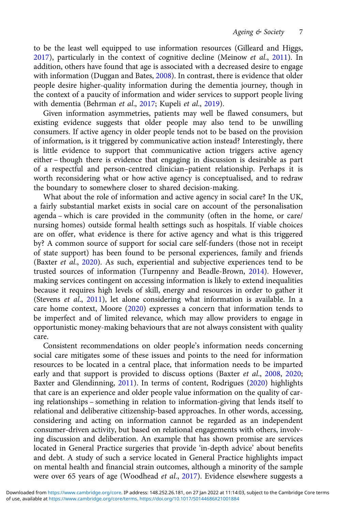to be the least well equipped to use information resources (Gilleard and Higgs, [2017](#page-11-0)), particularly in the context of cognitive decline (Meinow et al., [2011\)](#page-12-0). In addition, others have found that age is associated with a decreased desire to engage with information (Duggan and Bates, [2008\)](#page-10-0). In contrast, there is evidence that older people desire higher-quality information during the dementia journey, though in the context of a paucity of information and wider services to support people living with dementia (Behrman et al., [2017;](#page-10-0) Kupeli et al., [2019\)](#page-11-0).

Given information asymmetries, patients may well be flawed consumers, but existing evidence suggests that older people may also tend to be unwilling consumers. If active agency in older people tends not to be based on the provision of information, is it triggered by communicative action instead? Interestingly, there is little evidence to support that communicative action triggers active agency either – though there is evidence that engaging in discussion is desirable as part of a respectful and person-centred clinician–patient relationship. Perhaps it is worth reconsidering what or how active agency is conceptualised, and to redraw the boundary to somewhere closer to shared decision-making.

What about the role of information and active agency in social care? In the UK, a fairly substantial market exists in social care on account of the personalisation agenda – which is care provided in the community (often in the home, or care/ nursing homes) outside formal health settings such as hospitals. If viable choices are on offer, what evidence is there for active agency and what is this triggered by? A common source of support for social care self-funders (those not in receipt of state support) has been found to be personal experiences, family and friends (Baxter et al., [2020](#page-10-0)). As such, experiential and subjective experiences tend to be trusted sources of information (Turnpenny and Beadle-Brown, [2014\)](#page-12-0). However, making services contingent on accessing information is likely to extend inequalities because it requires high levels of skill, energy and resources in order to gather it (Stevens et al., [2011](#page-12-0)), let alone considering what information is available. In a care home context, Moore [\(2020](#page-12-0)) expresses a concern that information tends to be imperfect and of limited relevance, which may allow providers to engage in opportunistic money-making behaviours that are not always consistent with quality care.

Consistent recommendations on older people's information needs concerning social care mitigates some of these issues and points to the need for information resources to be located in a central place, that information needs to be imparted early and that support is provided to discuss options (Baxter et al., [2008](#page-10-0), [2020](#page-10-0); Baxter and Glendinning, [2011\)](#page-10-0). In terms of content, Rodrigues [\(2020\)](#page-12-0) highlights that care is an experience and older people value information on the quality of caring relationships – something in relation to information-giving that lends itself to relational and deliberative citizenship-based approaches. In other words, accessing, considering and acting on information cannot be regarded as an independent consumer-driven activity, but based on relational engagements with others, involving discussion and deliberation. An example that has shown promise are services located in General Practice surgeries that provide 'in-depth advice' about benefits and debt. A study of such a service located in General Practice highlights impact on mental health and financial strain outcomes, although a minority of the sample were over 65 years of age (Woodhead et al., [2017](#page-12-0)). Evidence elsewhere suggests a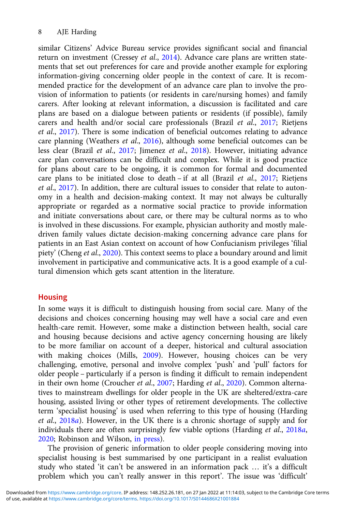similar Citizens' Advice Bureau service provides significant social and financial return on investment (Cressey et al., [2014\)](#page-10-0). Advance care plans are written statements that set out preferences for care and provide another example for exploring information-giving concerning older people in the context of care. It is recommended practice for the development of an advance care plan to involve the provision of information to patients (or residents in care/nursing homes) and family carers. After looking at relevant information, a discussion is facilitated and care plans are based on a dialogue between patients or residents (if possible), family carers and health and/or social care professionals (Brazil et al., [2017;](#page-10-0) Rietjens et al., [2017](#page-12-0)). There is some indication of beneficial outcomes relating to advance care planning (Weathers et al., [2016\)](#page-12-0), although some beneficial outcomes can be less clear (Brazil et al., [2017;](#page-10-0) Jimenez et al., [2018\)](#page-11-0). However, initiating advance care plan conversations can be difficult and complex. While it is good practice for plans about care to be ongoing, it is common for formal and documented care plans to be initiated close to death – if at all (Brazil et al., [2017;](#page-10-0) Rietjens et al., [2017\)](#page-12-0). In addition, there are cultural issues to consider that relate to autonomy in a health and decision-making context. It may not always be culturally appropriate or regarded as a normative social practice to provide information and initiate conversations about care, or there may be cultural norms as to who is involved in these discussions. For example, physician authority and mostly maledriven family values dictate decision-making concerning advance care plans for patients in an East Asian context on account of how Confucianism privileges 'filial piety' (Cheng et al., [2020](#page-10-0)). This context seems to place a boundary around and limit involvement in participative and communicative acts. It is a good example of a cultural dimension which gets scant attention in the literature.

## **Housing**

In some ways it is difficult to distinguish housing from social care. Many of the decisions and choices concerning housing may well have a social care and even health-care remit. However, some make a distinction between health, social care and housing because decisions and active agency concerning housing are likely to be more familiar on account of a deeper, historical and cultural association with making choices (Mills, [2009](#page-12-0)). However, housing choices can be very challenging, emotive, personal and involve complex 'push' and 'pull' factors for older people – particularly if a person is finding it difficult to remain independent in their own home (Croucher et al., [2007](#page-10-0); Harding et al., [2020\)](#page-11-0). Common alternatives to mainstream dwellings for older people in the UK are sheltered/extra-care housing, assisted living or other types of retirement developments. The collective term 'specialist housing' is used when referring to this type of housing (Harding et al., [2018](#page-11-0)a). However, in the UK there is a chronic shortage of supply and for individuals there are often surprisingly few viable options (Harding et al., [2018](#page-11-0)a, [2020;](#page-11-0) Robinson and Wilson, [in press](#page-12-0)).

The provision of generic information to older people considering moving into specialist housing is best summarised by one participant in a realist evaluation study who stated 'it can't be answered in an information pack … it's a difficult problem which you can't really answer in this report'. The issue was 'difficult'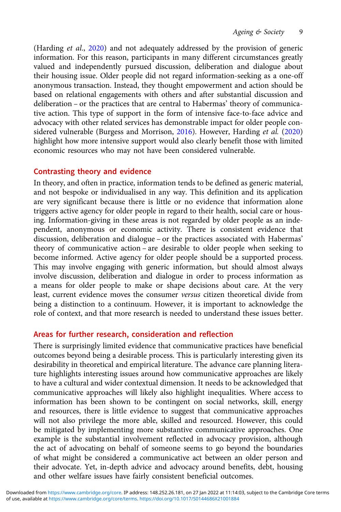(Harding et al., [2020](#page-11-0)) and not adequately addressed by the provision of generic information. For this reason, participants in many different circumstances greatly valued and independently pursued discussion, deliberation and dialogue about their housing issue. Older people did not regard information-seeking as a one-off anonymous transaction. Instead, they thought empowerment and action should be based on relational engagements with others and after substantial discussion and deliberation – or the practices that are central to Habermas' theory of communicative action. This type of support in the form of intensive face-to-face advice and advocacy with other related services has demonstrable impact for older people con-sidered vulnerable (Burgess and Morrison, [2016\)](#page-10-0). However, Harding et al. [\(2020](#page-11-0)) highlight how more intensive support would also clearly benefit those with limited economic resources who may not have been considered vulnerable.

## Contrasting theory and evidence

In theory, and often in practice, information tends to be defined as generic material, and not bespoke or individualised in any way. This definition and its application are very significant because there is little or no evidence that information alone triggers active agency for older people in regard to their health, social care or housing. Information-giving in these areas is not regarded by older people as an independent, anonymous or economic activity. There is consistent evidence that discussion, deliberation and dialogue – or the practices associated with Habermas' theory of communicative action – are desirable to older people when seeking to become informed. Active agency for older people should be a supported process. This may involve engaging with generic information, but should almost always involve discussion, deliberation and dialogue in order to process information as a means for older people to make or shape decisions about care. At the very least, current evidence moves the consumer versus citizen theoretical divide from being a distinction to a continuum. However, it is important to acknowledge the role of context, and that more research is needed to understand these issues better.

## Areas for further research, consideration and reflection

There is surprisingly limited evidence that communicative practices have beneficial outcomes beyond being a desirable process. This is particularly interesting given its desirability in theoretical and empirical literature. The advance care planning literature highlights interesting issues around how communicative approaches are likely to have a cultural and wider contextual dimension. It needs to be acknowledged that communicative approaches will likely also highlight inequalities. Where access to information has been shown to be contingent on social networks, skill, energy and resources, there is little evidence to suggest that communicative approaches will not also privilege the more able, skilled and resourced. However, this could be mitigated by implementing more substantive communicative approaches. One example is the substantial involvement reflected in advocacy provision, although the act of advocating on behalf of someone seems to go beyond the boundaries of what might be considered a communicative act between an older person and their advocate. Yet, in-depth advice and advocacy around benefits, debt, housing and other welfare issues have fairly consistent beneficial outcomes.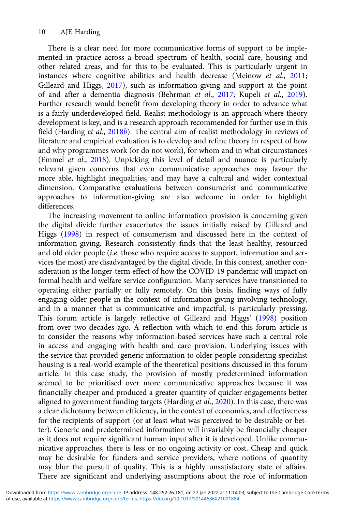There is a clear need for more communicative forms of support to be implemented in practice across a broad spectrum of health, social care, housing and other related areas, and for this to be evaluated. This is particularly urgent in instances where cognitive abilities and health decrease (Meinow et al., [2011](#page-12-0); Gilleard and Higgs, [2017\)](#page-11-0), such as information-giving and support at the point of and after a dementia diagnosis (Behrman et al., [2017;](#page-10-0) Kupeli et al., [2019\)](#page-11-0). Further research would benefit from developing theory in order to advance what is a fairly underdeveloped field. Realist methodology is an approach where theory development is key, and is a research approach recommended for further use in this field (Harding et al., [2018](#page-11-0)b). The central aim of realist methodology in reviews of literature and empirical evaluation is to develop and refine theory in respect of how and why programmes work (or do not work), for whom and in what circumstances (Emmel et al., [2018](#page-10-0)). Unpicking this level of detail and nuance is particularly relevant given concerns that even communicative approaches may favour the more able, highlight inequalities, and may have a cultural and wider contextual dimension. Comparative evaluations between consumerist and communicative approaches to information-giving are also welcome in order to highlight differences.

The increasing movement to online information provision is concerning given the digital divide further exacerbates the issues initially raised by Gilleard and Higgs [\(1998\)](#page-11-0) in respect of consumerism and discussed here in the context of information-giving. Research consistently finds that the least healthy, resourced and old older people (i.e. those who require access to support, information and services the most) are disadvantaged by the digital divide. In this context, another consideration is the longer-term effect of how the COVID-19 pandemic will impact on formal health and welfare service configuration. Many services have transitioned to operating either partially or fully remotely. On this basis, finding ways of fully engaging older people in the context of information-giving involving technology, and in a manner that is communicative and impactful, is particularly pressing. This forum article is largely reflective of Gilleard and Higgs' [\(1998](#page-11-0)) position from over two decades ago. A reflection with which to end this forum article is to consider the reasons why information-based services have such a central role in access and engaging with health and care provision. Underlying issues with the service that provided generic information to older people considering specialist housing is a real-world example of the theoretical positions discussed in this forum article. In this case study, the provision of mostly predetermined information seemed to be prioritised over more communicative approaches because it was financially cheaper and produced a greater quantity of quicker engagements better aligned to government funding targets (Harding et al., [2020](#page-11-0)). In this case, there was a clear dichotomy between efficiency, in the context of economics, and effectiveness for the recipients of support (or at least what was perceived to be desirable or better). Generic and predetermined information will invariably be financially cheaper as it does not require significant human input after it is developed. Unlike communicative approaches, there is less or no ongoing activity or cost. Cheap and quick may be desirable for funders and service providers, where notions of quantity may blur the pursuit of quality. This is a highly unsatisfactory state of affairs. There are significant and underlying assumptions about the role of information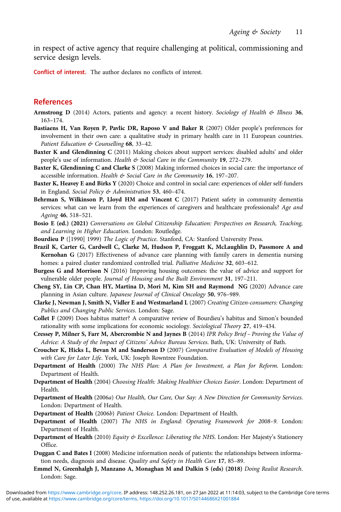<span id="page-10-0"></span>in respect of active agency that require challenging at political, commissioning and service design levels.

Conflict of interest. The author declares no conflicts of interest.

## References

- Armstrong D (2014) Actors, patients and agency: a recent history. Sociology of Health  $\mathfrak{G}$  Illness 36, 163–174.
- Bastiaens H, Van Royen P, Pavlic DR, Raposo V and Baker R (2007) Older people's preferences for involvement in their own care: a qualitative study in primary health care in 11 European countries. Patient Education & Counselling 68, 33-42.
- Baxter K and Glendinning C (2011) Making choices about support services: disabled adults' and older people's use of information. Health & Social Care in the Community 19, 272-279.
- Baxter K, Glendinning C and Clarke S (2008) Making informed choices in social care: the importance of accessible information. Health & Social Care in the Community 16, 197-207.
- Baxter K, Heavey E and Birks Y (2020) Choice and control in social care: experiences of older self-funders in England. Social Policy & Administration 53, 460–474.
- Behrman S, Wilkinson P, Lloyd HM and Vincent C (2017) Patient safety in community dementia services: what can we learn from the experiences of caregivers and healthcare professionals? Age and Ageing 46, 518–521.
- Bosio E (ed.) (2021) Conversations on Global Citizenship Education: Perspectives on Research, Teaching, and Learning in Higher Education. London: Routledge.
- Bourdieu P ([1990] 1999) The Logic of Practice. Stanford, CA: Stanford University Press.
- Brazil K, Carter G, Cardwell C, Clarke M, Hudson P, Froggatt K, McLaughlin D, Passmore A and Kernohan G (2017) Effectiveness of advance care planning with family carers in dementia nursing homes: a paired cluster randomized controlled trial. Palliative Medicine 32, 603-612.
- Burgess G and Morrison N (2016) Improving housing outcomes: the value of advice and support for vulnerable older people. Journal of Housing and the Built Environment 31, 197-211.
- Cheng SY, Lin CP, Chan HY, Martina D, Mori M, Kim SH and Raymond NG (2020) Advance care planning in Asian culture. Japanese Journal of Clinical Oncology 50, 976–989.
- Clarke J, Newman J, Smith N, Vidler E and Westmarland L (2007) Creating Citizen-consumers: Changing Publics and Changing Public Services. London: Sage.
- Collet F (2009) Does habitus matter? A comparative review of Bourdieu's habitus and Simon's bounded rationality with some implications for economic sociology. Sociological Theory 27, 419–434.
- Cressey P, Milner S, Farr M, Abercrombie N and Jaynes B (2014) IPR Policy Brief Proving the Value of Advice: A Study of the Impact of Citizens' Advice Bureau Services. Bath, UK: University of Bath.
- Croucher K, Hicks L, Bevan M and Sanderson D (2007) Comparative Evaluation of Models of Housing with Care for Later Life. York, UK: Joseph Rowntree Foundation.
- Department of Health (2000) The NHS Plan: A Plan for Investment, a Plan for Reform. London: Department of Health.
- Department of Health (2004) Choosing Health: Making Healthier Choices Easier. London: Department of Health.
- Department of Health (2006a) Our Health, Our Care, Our Say: A New Direction for Community Services. London: Department of Health.
- Department of Health (2006b) Patient Choice. London: Department of Health.
- Department of Health (2007) The NHS in England: Operating Framework for 2008–9. London: Department of Health.
- Department of Health (2010) Equity & Excellence: Liberating the NHS. London: Her Majesty's Stationery Office.
- Duggan C and Bates I (2008) Medicine information needs of patients: the relationships between information needs, diagnosis and disease. Quality and Safety in Health Care 17, 85–89.
- Emmel N, Greenhalgh J, Manzano A, Monaghan M and Dalkin S (eds) (2018) Doing Realist Research. London: Sage.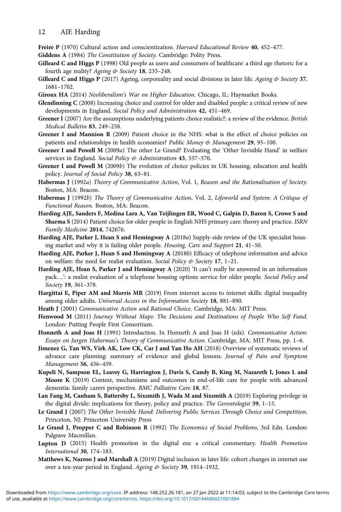<span id="page-11-0"></span>Freire P (1970) Cultural action and conscientization. Harvard Educational Review 40, 452-477.

Giddens A (1984) The Constitution of Society. Cambridge: Polity Press.

- Gilleard C and Higgs P (1998) Old people as users and consumers of healthcare: a third age rhetoric for a fourth age reality? Ageing & Society 18, 233-248.
- **Gilleard C and Higgs P** (2017) Ageing, corporeality and social divisions in later life. Ageing  $\&$  Society 37, 1681–1702.
- Giroux HA (2014) Neoliberalism's War on Higher Education. Chicago, IL: Haymarket Books.
- Glendinning C (2008) Increasing choice and control for older and disabled people: a critical review of new developments in England. Social Policy and Administration 42, 451–469.
- Greener I (2007) Are the assumptions underlying patients choice realistic?: a review of the evidence. British Medical Bulletin 83, 249–258.
- Greener I and Mannion R (2009) Patient choice in the NHS: what is the effect of choice policies on patients and relationships in health economies? Public Money & Management 29, 95-100.
- Greener I and Powell M (2009a) The other Le Grand? Evaluating the 'Other Invisible Hand' in welfare services in England. Social Policy & Administration 43, 557-570.
- Greener I and Powell M (2009b) The evolution of choice policies in UK housing, education and health policy. Journal of Social Policy 38, 63-81.
- Habermas J (1992a) Theory of Communicative Action, Vol. 1, Reason and the Rationalisation of Society. Boston, MA: Beacon.
- Habermas J (1992b) The Theory of Communicative Action, Vol. 2, Lifeworld and System: A Critique of Functional Reason. Boston, MA: Beacon.
- Harding AJE, Sanders F, Medina Lara A, Van Teijlingen ER, Wood C, Galpin D, Baron S, Crowe S and Sharma S (2014) Patient choice for older people in English NHS primary care: theory and practice. ISRN Family Medicine 2014, 742676.
- Harding AJE, Parker J, Hean S and Hemingway A (2018a) Supply-side review of the UK specialist housing market and why it is failing older people. Housing, Care and Support 21, 41–50.
- Harding AJE, Parker J, Hean S and Hemingway A (2018b) Efficacy of telephone information and advice on welfare: the need for realist evaluation. Social Policy & Society 17, 1-21.
- Harding AJE, Hean S, Parker J and Hemingway A (2020) 'It can't really be answered in an information pack...': a realist evaluation of a telephone housing options service for older people. Social Policy and Society 19, 361–378.
- Hargittai E, Piper AM and Morris MR (2019) From internet access to internet skills: digital inequality among older adults. Universal Access in the Information Society 18, 881–890.
- Heath J (2001) Communicative Action and Rational Choice. Cambridge, MA: MIT Press.
- Henwood M (2011) Journey Without Maps: The Decisions and Destinations of People Who Self Fund. London: Putting People First Consortium.
- Honneth A and Joas H (1991) Introduction. In Honneth A and Joas H (eds). Communicative Action: Essays on Jurgen Habermas's Theory of Communicative Action. Cambridge, MA: MIT Press, pp. 1–6.
- Jimenez G, Tan WS, Virk AK, Low CK, Car J and Yan Ho AH (2018) Overview of systematic reviews of advance care planning: summary of evidence and global lessons. Journal of Pain and Symptom Management 56, 436–459.
- Kupeli N, Sampson EL, Leavey G, Harrington J, Davis S, Candy B, King M, Nazareth I, Jones L and Moore K (2019) Context, mechanisms and outcomes in end-of-life care for people with advanced dementia: family carers perspective. BMC Palliative Care 18, 87.
- Lan Fang M, Canham S, Battersby L, Sixsmith J, Wada M and Sixsmith A (2019) Exploring privilege in the digital divide: implications for theory, policy and practice. The Gerontologist 59, 1–15.
- Le Grand J (2007) The Other Invisible Hand: Delivering Public Services Through Choice and Competition. Princeton, NJ: Princeton University Press
- Le Grand J, Propper C and Robinson R (1992) The Economics of Social Problems, 3rd Edn. London: Palgrave Macmillan.
- Lupton D (2015) Health promotion in the digital era: a critical commentary. Health Promotion International 30, 174–183.
- Matthews K, Nazroo J and Marshall A (2019) Digital inclusion in later life: cohort changes in internet use over a ten-year period in England. Ageing & Society 39, 1914-1932.